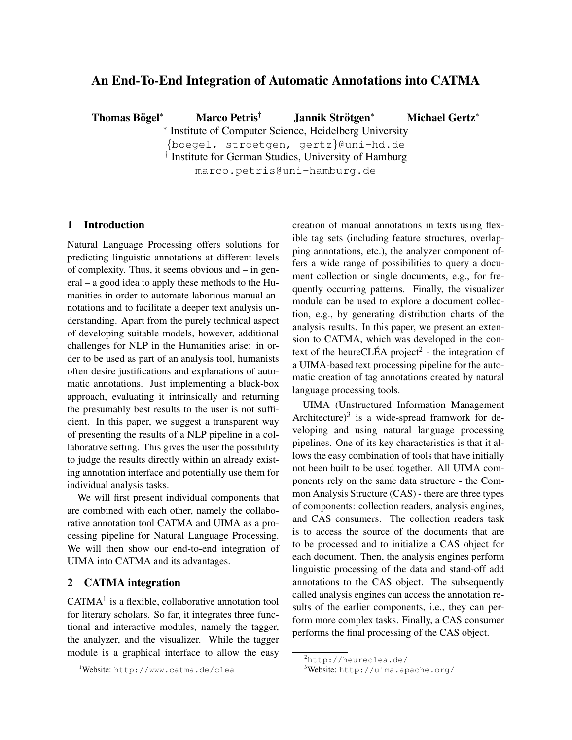# An End-To-End Integration of Automatic Annotations into CATMA

Thomas Bögel<sup>\*</sup>  $\text{Marco Petris}^{\dagger}$  Jannik Strötgen<sup>\*</sup> <sup>∗</sup> Michael Gertz<sup>∗</sup>

∗ Institute of Computer Science, Heidelberg University

{boegel, stroetgen, gertz}@uni-hd.de † Institute for German Studies, University of Hamburg marco.petris@uni-hamburg.de

### 1 Introduction

Natural Language Processing offers solutions for predicting linguistic annotations at different levels of complexity. Thus, it seems obvious and – in general – a good idea to apply these methods to the Humanities in order to automate laborious manual annotations and to facilitate a deeper text analysis understanding. Apart from the purely technical aspect of developing suitable models, however, additional challenges for NLP in the Humanities arise: in order to be used as part of an analysis tool, humanists often desire justifications and explanations of automatic annotations. Just implementing a black-box approach, evaluating it intrinsically and returning the presumably best results to the user is not sufficient. In this paper, we suggest a transparent way of presenting the results of a NLP pipeline in a collaborative setting. This gives the user the possibility to judge the results directly within an already existing annotation interface and potentially use them for individual analysis tasks.

We will first present individual components that are combined with each other, namely the collaborative annotation tool CATMA and UIMA as a processing pipeline for Natural Language Processing. We will then show our end-to-end integration of UIMA into CATMA and its advantages.

## 2 CATMA integration

 $CATMA<sup>1</sup>$  is a flexible, collaborative annotation tool for literary scholars. So far, it integrates three functional and interactive modules, namely the tagger, the analyzer, and the visualizer. While the tagger module is a graphical interface to allow the easy creation of manual annotations in texts using flexible tag sets (including feature structures, overlapping annotations, etc.), the analyzer component offers a wide range of possibilities to query a document collection or single documents, e.g., for frequently occurring patterns. Finally, the visualizer module can be used to explore a document collection, e.g., by generating distribution charts of the analysis results. In this paper, we present an extension to CATMA, which was developed in the context of the heureCLÉA project<sup>2</sup> - the integration of a UIMA-based text processing pipeline for the automatic creation of tag annotations created by natural language processing tools.

UIMA (Unstructured Information Management Architecture) $3$  is a wide-spread framwork for developing and using natural language processing pipelines. One of its key characteristics is that it allows the easy combination of tools that have initially not been built to be used together. All UIMA components rely on the same data structure - the Common Analysis Structure (CAS) - there are three types of components: collection readers, analysis engines, and CAS consumers. The collection readers task is to access the source of the documents that are to be processed and to initialize a CAS object for each document. Then, the analysis engines perform linguistic processing of the data and stand-off add annotations to the CAS object. The subsequently called analysis engines can access the annotation results of the earlier components, i.e., they can perform more complex tasks. Finally, a CAS consumer performs the final processing of the CAS object.

<sup>1</sup>Website: http://www.catma.de/clea

<sup>2</sup>http://heureclea.de/

<sup>3</sup>Website: http://uima.apache.org/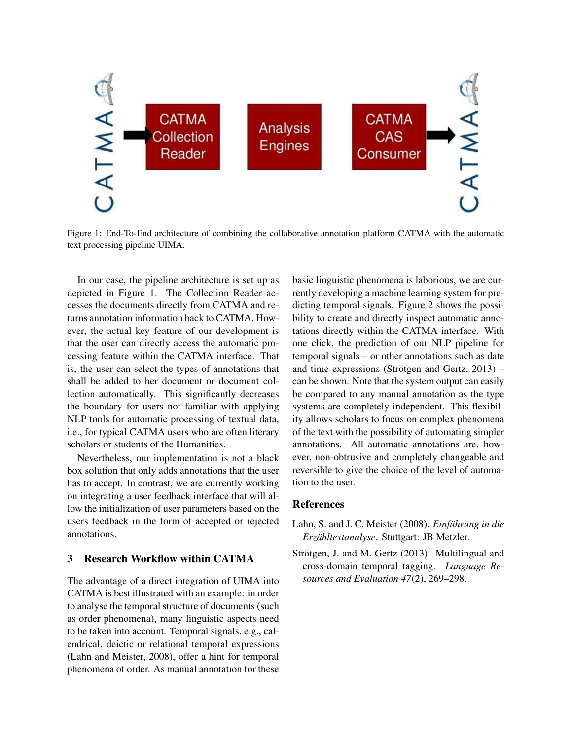

Figure 1: End-To-End architecture of combining the collaborative annotation platform CATMA with the automatic text processing pipeline UIMA.

In our case, the pipeline architecture is set up as depicted in Figure 1. The Collection Reader accesses the documents directly from CATMA and returns annotation information back to CATMA. However, the actual key feature of our development is that the user can directly access the automatic processing feature within the CATMA interface. That is, the user can select the types of annotations that shall be added to her document or document collection automatically. This significantly decreases the boundary for users not familiar with applying NLP tools for automatic processing of textual data, i.e., for typical CATMA users who are often literary scholars or students of the Humanities.

Nevertheless, our implementation is not a black box solution that only adds annotations that the user has to accept. In contrast, we are currently working on integrating a user feedback interface that will allow the initialization of user parameters based on the users feedback in the form of accepted or rejected annotations.

### 3 Research Workflow within CATMA

The advantage of a direct integration of UIMA into CATMA is best illustrated with an example: in order to analyse the temporal structure of documents (such as order phenomena), many linguistic aspects need to be taken into account. Temporal signals, e.g., calendrical, deictic or relational temporal expressions (Lahn and Meister, 2008), offer a hint for temporal phenomena of order. As manual annotation for these

basic linguistic phenomena is laborious, we are currently developing a machine learning system for predicting temporal signals. Figure 2 shows the possibility to create and directly inspect automatic annotations directly within the CATMA interface. With one click, the prediction of our NLP pipeline for temporal signals – or other annotations such as date and time expressions (Strötgen and Gertz,  $2013$ ) – can be shown. Note that the system output can easily be compared to any manual annotation as the type systems are completely independent. This flexibility allows scholars to focus on complex phenomena of the text with the possibility of automating simpler annotations. All automatic annotations are, however, non-obtrusive and completely changeable and reversible to give the choice of the level of automation to the user.

### References

- Lahn, S. and J. C. Meister (2008). *Einführung in die Erzahltextanalyse ¨* . Stuttgart: JB Metzler.
- Strötgen, J. and M. Gertz (2013). Multilingual and cross-domain temporal tagging. *Language Resources and Evaluation 47*(2), 269–298.